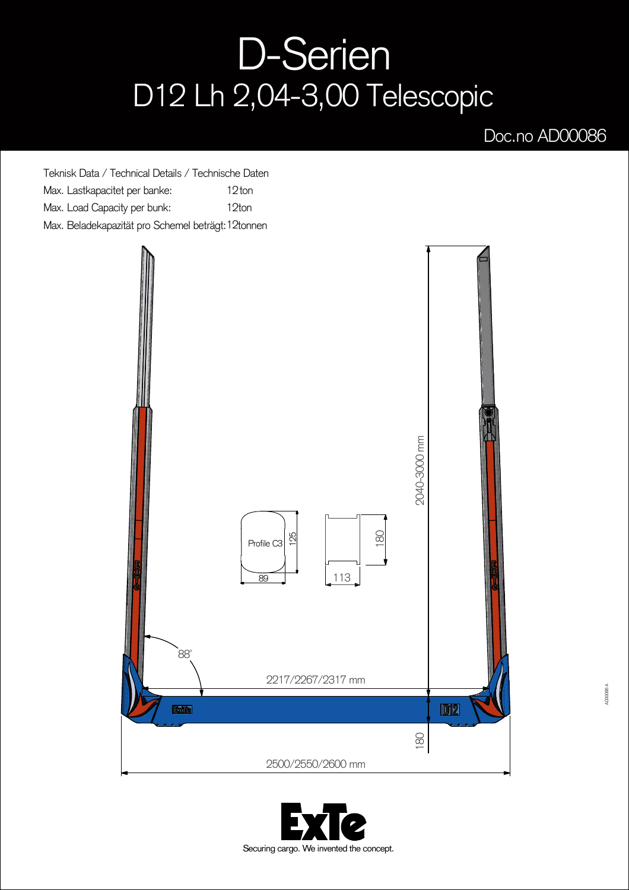## D-Serien D12 Lh 2,04-3,00 Telescopic

## Doc.no AD00086

Teknisk Data / Technical Details / Technische Daten Max. Lastkapacitet per banke: Max. Load Capacity per bunk: Max. Beladekapazität pro Schemel beträgt: 12tonnen 12ton 12ton